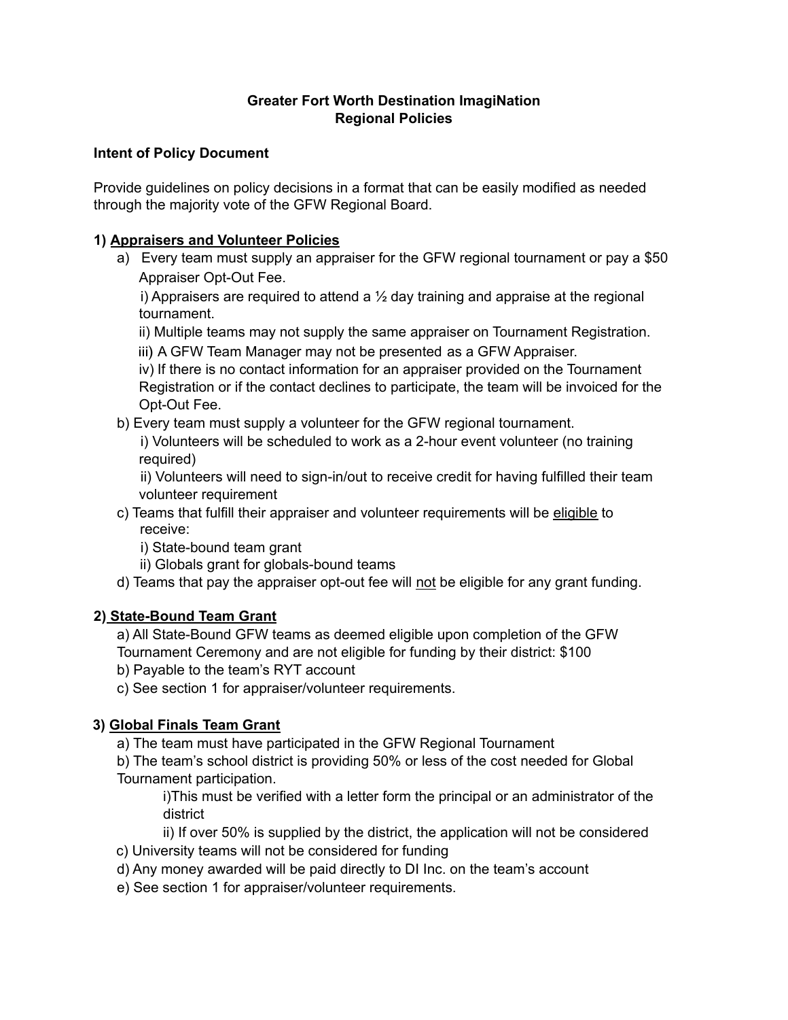# **Greater Fort Worth Destination ImagiNation Regional Policies**

### **Intent of Policy Document**

Provide guidelines on policy decisions in a format that can be easily modified as needed through the majority vote of the GFW Regional Board.

### **1) Appraisers and Volunteer Policies**

a) Every team must supply an appraiser for the GFW regional tournament or pay a \$50 Appraiser Opt-Out Fee.

i) Appraisers are required to attend a  $\frac{1}{2}$  day training and appraise at the regional tournament.

ii) Multiple teams may not supply the same appraiser on Tournament Registration.

iii) A GFW Team Manager may not be presented as a GFW Appraiser.

iv) If there is no contact information for an appraiser provided on the Tournament Registration or if the contact declines to participate, the team will be invoiced for the Opt-Out Fee.

b) Every team must supply a volunteer for the GFW regional tournament.

i) Volunteers will be scheduled to work as a 2-hour event volunteer (no training required)

ii) Volunteers will need to sign-in/out to receive credit for having fulfilled their team volunteer requirement

- c) Teams that fulfill their appraiser and volunteer requirements will be eligible to receive:
	- i) State-bound team grant
	- ii) Globals grant for globals-bound teams
- d) Teams that pay the appraiser opt-out fee will not be eligible for any grant funding.

# **2) State-Bound Team Grant**

a) All State-Bound GFW teams as deemed eligible upon completion of the GFW Tournament Ceremony and are not eligible for funding by their district: \$100

- b) Payable to the team's RYT account
- c) See section 1 for appraiser/volunteer requirements.

# **3) Global Finals Team Grant**

a) The team must have participated in the GFW Regional Tournament

b) The team's school district is providing 50% or less of the cost needed for Global Tournament participation.

i)This must be verified with a letter form the principal or an administrator of the district

ii) If over 50% is supplied by the district, the application will not be considered c) University teams will not be considered for funding

- d) Any money awarded will be paid directly to DI Inc. on the team's account
- e) See section 1 for appraiser/volunteer requirements.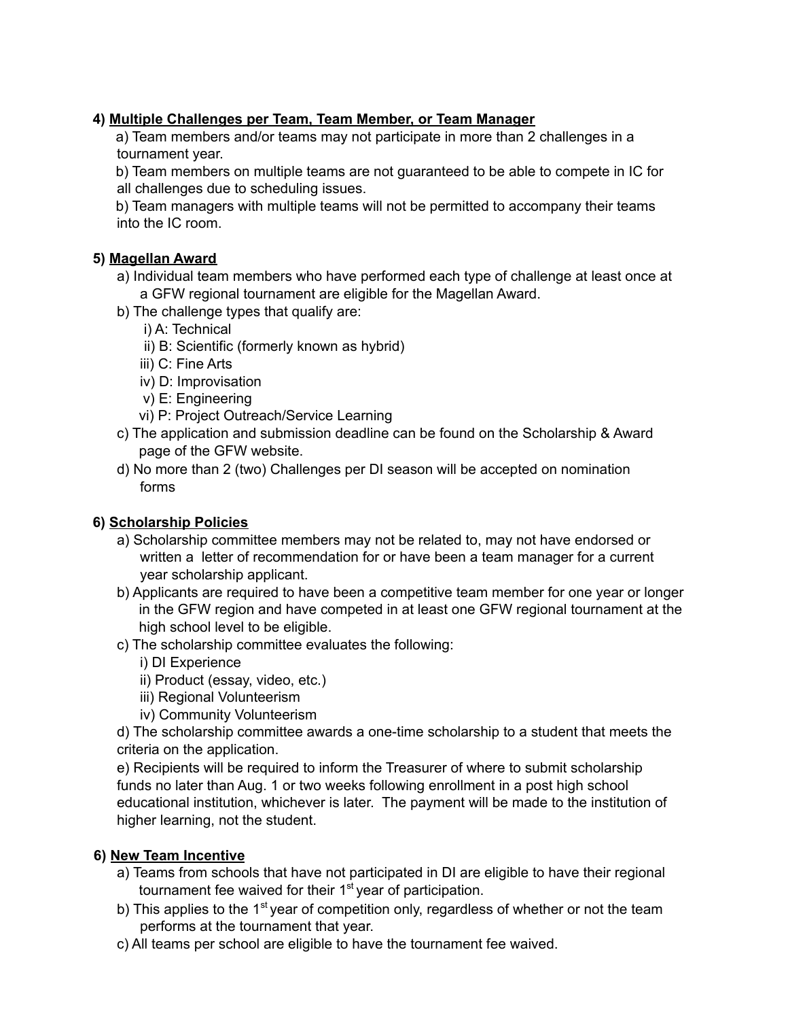### **4) Multiple Challenges per Team, Team Member, or Team Manager**

a) Team members and/or teams may not participate in more than 2 challenges in a tournament year.

b) Team members on multiple teams are not guaranteed to be able to compete in IC for all challenges due to scheduling issues.

b) Team managers with multiple teams will not be permitted to accompany their teams into the IC room.

### **5) Magellan Award**

- a) Individual team members who have performed each type of challenge at least once at a GFW regional tournament are eligible for the Magellan Award.
- b) The challenge types that qualify are:
	- i) A: Technical
	- ii) B: Scientific (formerly known as hybrid)
	- iii) C: Fine Arts
	- iv) D: Improvisation
	- v) E: Engineering
	- vi) P: Project Outreach/Service Learning
- c) The application and submission deadline can be found on the Scholarship & Award page of the GFW website.
- d) No more than 2 (two) Challenges per DI season will be accepted on nomination forms

# **6) Scholarship Policies**

- a) Scholarship committee members may not be related to, may not have endorsed or written a letter of recommendation for or have been a team manager for a current year scholarship applicant.
- b) Applicants are required to have been a competitive team member for one year or longer in the GFW region and have competed in at least one GFW regional tournament at the high school level to be eligible.
- c) The scholarship committee evaluates the following:
	- i) DI Experience
	- ii) Product (essay, video, etc.)
	- iii) Regional Volunteerism
	- iv) Community Volunteerism

d) The scholarship committee awards a one-time scholarship to a student that meets the criteria on the application.

e) Recipients will be required to inform the Treasurer of where to submit scholarship funds no later than Aug. 1 or two weeks following enrollment in a post high school educational institution, whichever is later. The payment will be made to the institution of higher learning, not the student.

#### **6) New Team Incentive**

- a) Teams from schools that have not participated in DI are eligible to have their regional tournament fee waived for their 1<sup>st</sup> year of participation.
- b) This applies to the 1<sup>st</sup> year of competition only, regardless of whether or not the team performs at the tournament that year.
- c) All teams per school are eligible to have the tournament fee waived.